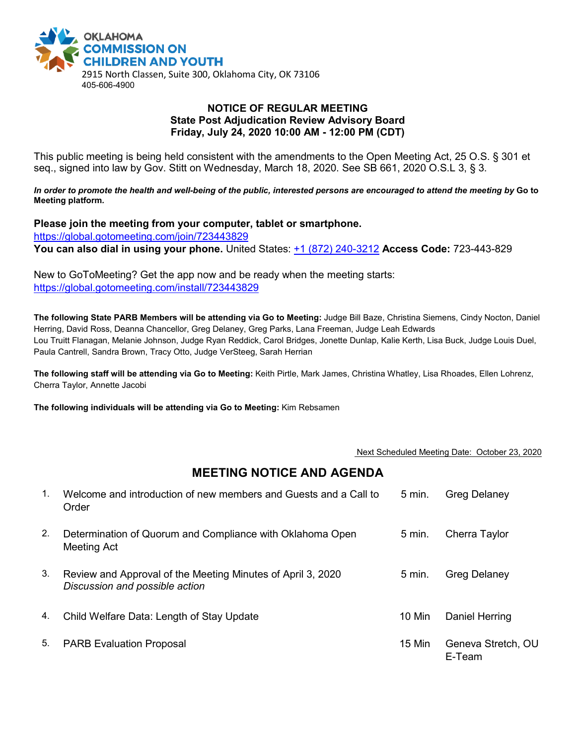

## **NOTICE OF REGULAR MEETING State Post Adjudication Review Advisory Board Friday, July 24, 2020 10:00 AM - 12:00 PM (CDT)**

This public meeting is being held consistent with the amendments to the Open Meeting Act, 25 O.S. § 301 et seq., signed into law by Gov. Stitt on Wednesday, March 18, 2020. See SB 661, 2020 O.S.L 3, § 3.

*In order to promote the health and well-being of the public, interested persons are encouraged to attend the meeting by* **Go to Meeting platform***.*

**Please join the meeting from your computer, tablet or smartphone.**  <https://global.gotomeeting.com/join/723443829> **You can also dial in using your phone.** United States: [+1 \(872\) 240-3212](tel:+18722403212,,723443829) **Access Code:** 723-443-829

New to GoToMeeting? Get the app now and be ready when the meeting starts: <https://global.gotomeeting.com/install/723443829>

**The following State PARB Members will be attending via Go to Meeting:** Judge Bill Baze, Christina Siemens, Cindy Nocton, Daniel Herring, David Ross, Deanna Chancellor, Greg Delaney, Greg Parks, Lana Freeman, Judge Leah Edwards Lou Truitt Flanagan, Melanie Johnson, Judge Ryan Reddick, Carol Bridges, Jonette Dunlap, Kalie Kerth, Lisa Buck, Judge Louis Duel, Paula Cantrell, Sandra Brown, Tracy Otto, Judge VerSteeg, Sarah Herrian

**The following staff will be attending via Go to Meeting:** Keith Pirtle, Mark James, Christina Whatley, Lisa Rhoades, Ellen Lohrenz, Cherra Taylor, Annette Jacobi

**The following individuals will be attending via Go to Meeting:** Kim Rebsamen

## Next Scheduled Meeting Date: October 23, 2020

## **MEETING NOTICE AND AGENDA**

| $\mathbf{1}$ . | Welcome and introduction of new members and Guests and a Call to<br>Order                     | $5 \text{ min}$ . | Greg Delaney                 |
|----------------|-----------------------------------------------------------------------------------------------|-------------------|------------------------------|
| 2.             | Determination of Quorum and Compliance with Oklahoma Open<br>Meeting Act                      | $5 \text{ min}$ . | Cherra Taylor                |
| 3.             | Review and Approval of the Meeting Minutes of April 3, 2020<br>Discussion and possible action | $5 \text{ min}$ . | <b>Greg Delaney</b>          |
| 4.             | Child Welfare Data: Length of Stay Update                                                     | 10 Min            | Daniel Herring               |
| 5.             | <b>PARB Evaluation Proposal</b>                                                               | 15 Min            | Geneva Stretch, OU<br>E-Team |